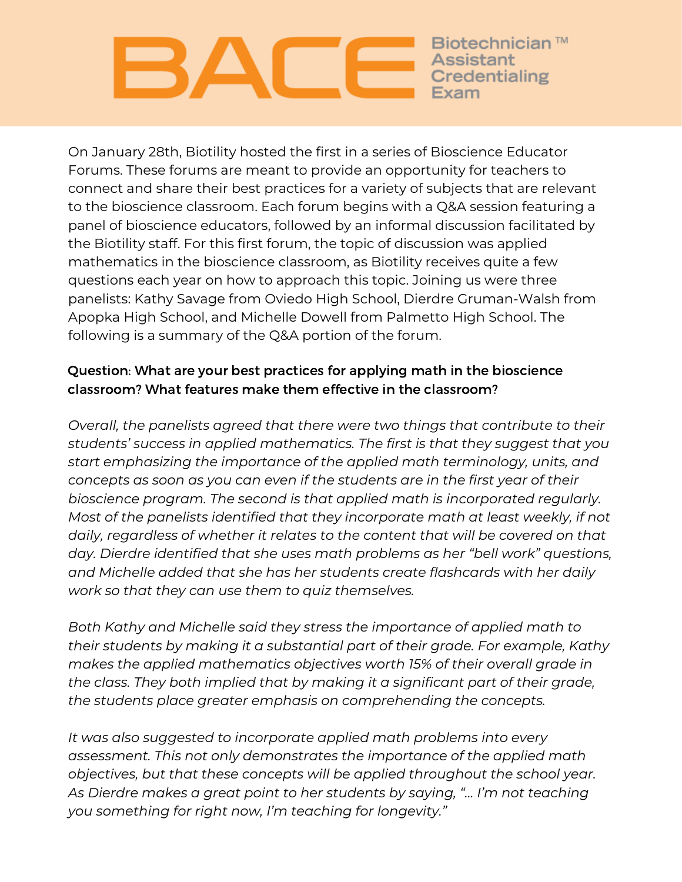Biotechnician ™ Assistant redentialing

On January 28th, Biotility hosted the first in a series of Bioscience Educator Forums. These forums are meant to provide an opportunity for teachers to connect and share their best practices for a variety of subjects that are relevant to the bioscience classroom. Each forum begins with a Q&A session featuring a panel of bioscience educators, followed by an informal discussion facilitated by the Biotility staff. For this first forum, the topic of discussion was applied mathematics in the bioscience classroom, as Biotility receives quite a few questions each year on how to approach this topic. Joining us were three panelists: Kathy Savage from Oviedo High School, Dierdre Gruman-Walsh from Apopka High School, and Michelle Dowell from Palmetto High School. The following is a summary of the Q&A portion of the forum.

# Question: What are your best practices for applying math in the bioscience classroom? What features make them effective in the classroom?

*Overall, the panelists agreed that there were two things that contribute to their students' success in applied mathematics. The first is that they suggest that you start emphasizing the importance of the applied math terminology, units, and concepts as soon as you can even if the students are in the first year of their bioscience program. The second is that applied math is incorporated regularly. Most of the panelists identified that they incorporate math at least weekly, if not daily, regardless of whether it relates to the content that will be covered on that day. Dierdre identified that she uses math problems as her "bell work" questions, and Michelle added that she has her students create flashcards with her daily work so that they can use them to quiz themselves.*

*Both Kathy and Michelle said they stress the importance of applied math to their students by making it a substantial part of their grade. For example, Kathy makes the applied mathematics objectives worth 15% of their overall grade in the class. They both implied that by making it a significant part of their grade, the students place greater emphasis on comprehending the concepts.*

*It was also suggested to incorporate applied math problems into every assessment. This not only demonstrates the importance of the applied math objectives, but that these concepts will be applied throughout the school year. As Dierdre makes a great point to her students by saying, "… I'm not teaching you something for right now, I'm teaching for longevity."*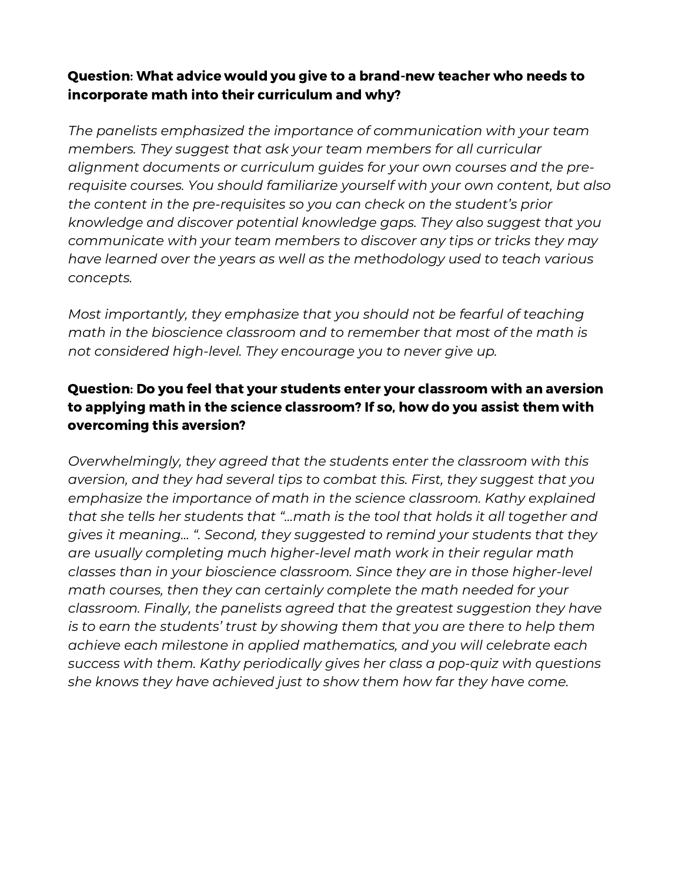### Question: What advice would you give to a brand-new teacher who needs to incorporate math into their curriculum and why?

*The panelists emphasized the importance of communication with your team members. They suggest that ask your team members for all curricular alignment documents or curriculum guides for your own courses and the prerequisite courses. You should familiarize yourself with your own content, but also the content in the pre-requisites so you can check on the student's prior knowledge and discover potential knowledge gaps. They also suggest that you communicate with your team members to discover any tips or tricks they may have learned over the years as well as the methodology used to teach various concepts.*

*Most importantly, they emphasize that you should not be fearful of teaching math in the bioscience classroom and to remember that most of the math is not considered high-level. They encourage you to never give up.*

## Question: Do you feel that your students enter your classroom with an aversion to applying math in the science classroom? If so, how do you assist them with overcoming this aversion?

*Overwhelmingly, they agreed that the students enter the classroom with this aversion, and they had several tips to combat this. First, they suggest that you emphasize the importance of math in the science classroom. Kathy explained that she tells her students that "...math is the tool that holds it all together and gives it meaning... ". Second, they suggested to remind your students that they are usually completing much higher-level math work in their regular math classes than in your bioscience classroom. Since they are in those higher-level math courses, then they can certainly complete the math needed for your classroom. Finally, the panelists agreed that the greatest suggestion they have is to earn the students' trust by showing them that you are there to help them achieve each milestone in applied mathematics, and you will celebrate each success with them. Kathy periodically gives her class a pop-quiz with questions she knows they have achieved just to show them how far they have come.*